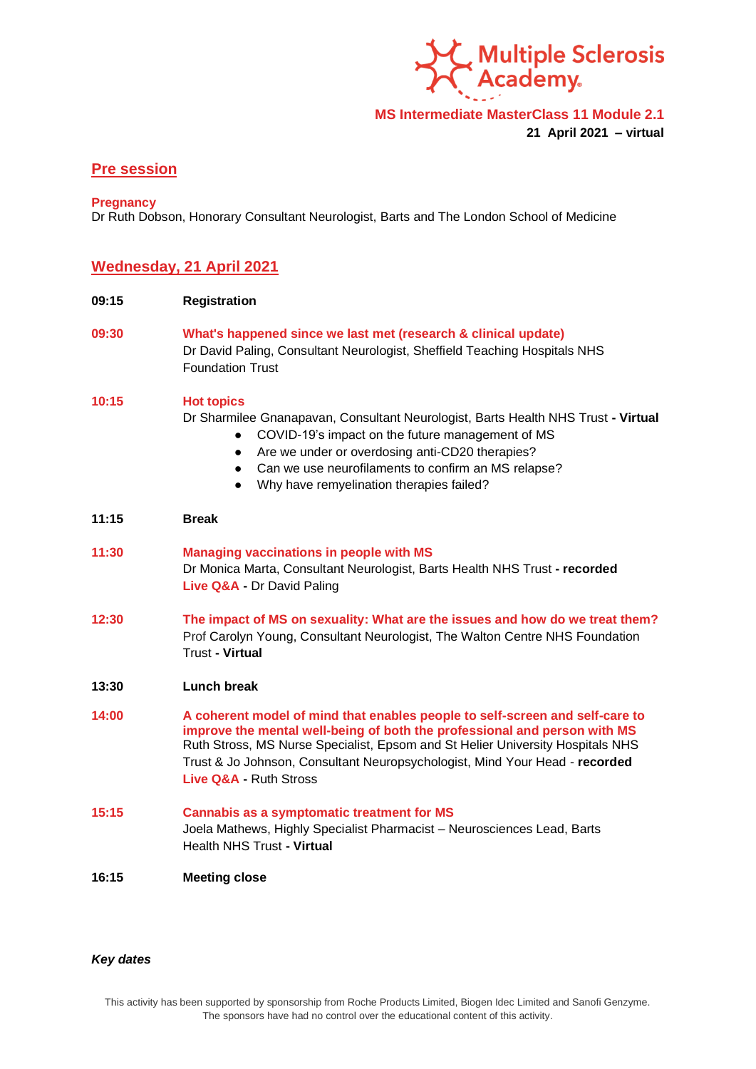

**MS Intermediate MasterClass 11 Module 2.1 21 April 2021 – virtual**

# **Pre session**

#### **Pregnancy**

Dr Ruth Dobson, Honorary Consultant Neurologist, Barts and The London School of Medicine

# **Wednesday, 21 April 2021**

- **09:15 Registration**
- **09:30 What's happened since we last met (research & clinical update)** Dr David Paling, Consultant Neurologist, Sheffield Teaching Hospitals NHS Foundation Trust

## **10:15 Hot topics**

Dr Sharmilee Gnanapavan, Consultant Neurologist, Barts Health NHS Trust **- Virtual**

- COVID-19's impact on the future management of MS
- Are we under or overdosing anti-CD20 therapies?
- Can we use neurofilaments to confirm an MS relapse?
- Why have remyelination therapies failed?

### **11:15 Break**

**11:30 Managing vaccinations in people with MS**  Dr Monica Marta, Consultant Neurologist, Barts Health NHS Trust **- recorded Live Q&A -** Dr David Paling

- **12:30 The impact of MS on sexuality: What are the issues and how do we treat them?** Prof Carolyn Young, Consultant Neurologist, The Walton Centre NHS Foundation Trust **- Virtual**
- **13:30 Lunch break**
- **14:00 A coherent model of mind that enables people to self-screen and self-care to improve the mental well-being of both the professional and person with MS**  Ruth Stross, MS Nurse Specialist, Epsom and St Helier University Hospitals NHS Trust & Jo Johnson, Consultant Neuropsychologist, Mind Your Head - **recorded Live Q&A -** Ruth Stross
- **15:15 Cannabis as a symptomatic treatment for MS**  Joela Mathews, Highly Specialist Pharmacist – Neurosciences Lead, Barts Health NHS Trust **- Virtual**
- **16:15 Meeting close**

#### *Key dates*